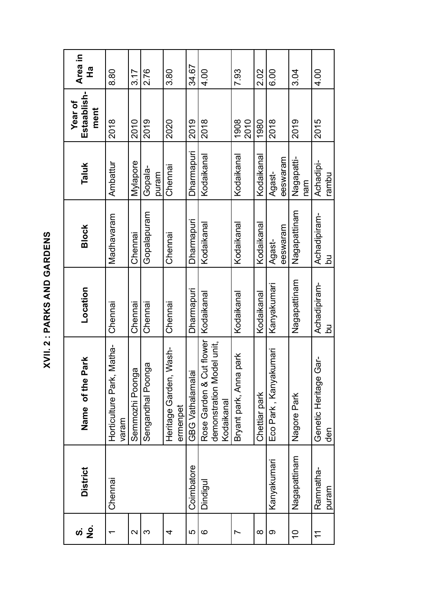| i            |
|--------------|
|              |
| I            |
|              |
| C            |
|              |
| I<br>Ì       |
|              |
| l            |
| I            |
|              |
|              |
|              |
|              |
| ſ<br>֡֡֡֡֡֡֡ |
|              |
| ٠.<br>٠      |
| t,<br>١      |
|              |
|              |
|              |
|              |
|              |

| ທ່ 9 ີ            | <b>District</b>    | Park<br>Name of the                                                 | Location           | <b>Block</b>       | <b>Taluk</b>       | Estaablish-<br>Year of<br>ment | Area in<br>$\frac{\sigma}{L}$ |
|-------------------|--------------------|---------------------------------------------------------------------|--------------------|--------------------|--------------------|--------------------------------|-------------------------------|
|                   | Chennai            | Matha-<br>Horticulture Park,<br>varam                               | Chennai            | Madhavaram         | Ambattur           | 2018                           | 8.80                          |
| $\mathbf{\Omega}$ |                    | $\overline{\omega}$<br>Semmozhi Poong                               | Chennai            | Chennai            | Mylapore           | 2010                           | 3.17                          |
| ო                 |                    | ga<br>Sengandhal Poon                                               | Chennai            | Gopalapuram        | Gopala-<br>puram   | 2019                           | 2.76                          |
| 4                 |                    | Wash-<br>Heritage Garden,<br>ermenpet                               | Chennai            | Chennai            | Chennai            | 2020                           | 3.80                          |
| ယ                 | Coimbatore         | GBG Vathalamala                                                     | Dharmapuri         | Dharmapuri         | Dharmapuri         | 2019                           | 34.67                         |
| စ                 | Dindigu            | Rose Garden & Cut flower<br>demonstration Model unit,<br>Kodaikanal | Kodaikanal         | Kodaikanal         | Kodaikanal         | 2018                           | 4.00                          |
| Ľ                 |                    | park<br>Bryant park, Anna                                           | Kodaikanal         | Kodaikanal         | Kodaikanal         | 1908<br>2010                   | 7.93                          |
| $\infty$          |                    | Chettiar park                                                       | Kodaikanal         | Kodaikanal         | Kodaikanal         | 1980                           | 2.02                          |
| တ                 | Kanyakumari        | Eco Park , Kanyakumari                                              | Kanyakumari        | eeswaram<br>Agast- | eeswaram<br>Agast- | 2018                           | 6.00                          |
| $\tilde{=}$       | Nagapattinam       | Nagore Park                                                         | Nagapattinam       | Nagapattinam       | Nagapatti-<br>nam  | 2019                           | 3.04                          |
| $\tilde{\tau}$    | Ramnatha-<br>puram | Gar-<br>Genetic Heritage<br>den                                     | Achadipiram-<br>Ρq | Achadipiram-<br>Ρq | Achadipi-<br>rambu | 2015                           | 4.00                          |